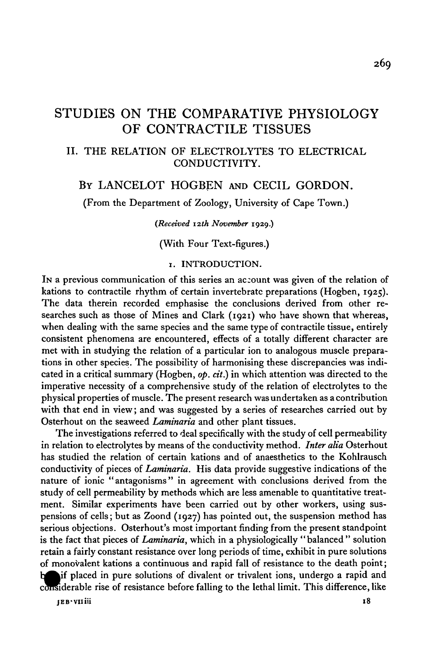# STUDIES ON THE COMPARATIVE PHYSIOLOGY OF CONTRACTILE TISSUES

## II. THE RELATION OF ELECTROLYTES TO ELECTRICAL CONDUCTIVITY.

# BY LANCELOT HOGBEN AND CECIL GORDON.

(From the Department of Zoology, University of Cape Town.)

*(Received 12th November* 1929.)

(With Four Text-figures.)

### 1. INTRODUCTION.

IN a previous communication of this series an account was given of the relation of kations to contractile rhythm of certain invertebrate preparations (Hogben, 1925). The data therein recorded emphasise the conclusions derived from other researches such as those of Mines and Clark (1921) who have shown that whereas, when dealing with the same species and the same type of contractile tissue, entirely consistent phenomena are encountered, effects of a totally different character are met with in studying the relation of a particular ion to analogous muscle preparations in other species. The possibility of harmonising these discrepancies was indicated in a critical summary (Hogben, *op. cit.)* in which attention was directed to the imperative necessity of a comprehensive study of the relation of electrolytes to the physical properties of muscle. The present research was undertaken as a contribution with that end in view; and was suggested by a series of researches carried out by Osterhout on the seaweed *Laminaria* and other plant tissues.

The investigations referred to deal specifically with the study of cell permeability in relation to electrolytes by means of the conductivity method. *Inter alia* Osterhout has studied the relation of certain kations and of anaesthetics to the Kohlrausch conductivity of pieces of *Laminaria.* His data provide suggestive indications of the nature of ionic "antagonisms" in agreement with conclusions derived from the study of cell permeability by methods which are less amenable to quantitative treatment. Similar experiments have been carried out by other workers, using suspensions of cells; but as Zoond (1927) has pointed out, the suspension method has serious objections. Osterhout's most important finding from the present standpoint is the fact that pieces of *Laminaria,* which in a physiologically "balanced " solution retain a fairly constant resistance over long periods of time, exhibit in pure solutions of monovalent kations a continuous and rapid fall of resistance to the death point; if placed in pure solutions of divalent or trivalent ions, undergo a rapid and considerable rise of resistance before falling to the lethal limit. This difference, like

**JEB-Vlliii 18**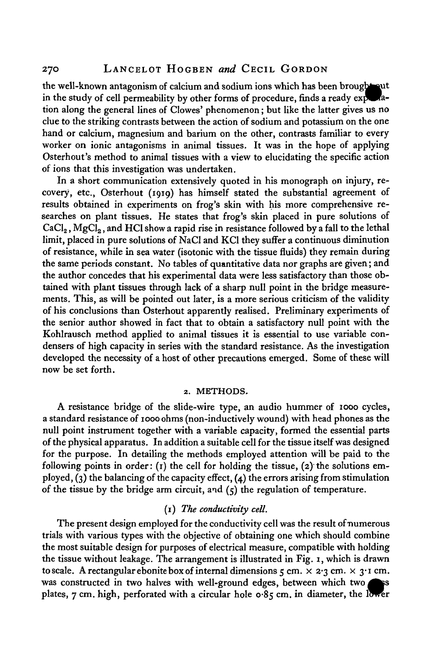the well-known antagonism of calcium and sodium ions which has been brought put in the study of cell permeability by other forms of procedure, finds a ready exposedtion along the general lines of Clowes' phenomenon; but like the latter gives us no clue to the striking contrasts between the action of sodium and potassium on the one hand or calcium, magnesium and barium on the other, contrasts familiar to every worker on ionic antagonisms in animal tissues. It was in the hope of applying Osterhout's method to animal tissues with a view to elucidating the specific action of ions that this investigation was undertaken.

In a short communication extensively quoted in his monograph on injury, recovery, etc., Osterhout (1919) has himself stated the substantial agreement of results obtained in experiments on frog's skin with his more comprehensive researches on plant tissues. He states that frog's skin placed in pure solutions of  $CaCl<sub>2</sub>$ , MgCl<sub>2</sub>, and HCl show a rapid rise in resistance followed by a fall to the lethal limit, placed in pure solutions of NaCl and KC1 they suffer a continuous diminution of resistance, while in sea water (isotonic with the tissue fluids) they remain during the same periods constant. No tables of quantitative data nor graphs are given; and the author concedes that his experimental data were less satisfactory than those obtained with plant tissues through lack of a sharp null point in the bridge measurements. This, as will be pointed out later, is a more serious criticism of the validity of his conclusions than Osterhout apparently realised. Preliminary experiments of the senior author showed in fact that to obtain a satisfactory null point with the Kohlrausch method applied to animal tissues it is essential to use variable condensers of high capacity in series with the standard resistance. As the investigation developed the necessity of a host of other precautions emerged. Some of these will now be set forth.

#### 2. METHODS.

A resistance bridge of the slide-wire type, an audio hummer of 1000 cycles, a standard resistance of 1000 ohms (non-inductively wound) with head phones as the null point instrument together with a variable capacity, formed the essential parts of the physical apparatus. In addition a suitable cell for the tissue itself was designed for the purpose. In detailing the methods employed attention will be paid to the following points in order:  $(1)$  the cell for holding the tissue,  $(2)$  the solutions employed, (3) the balancing of the capacity effect,  $(a)$  the errors arising from stimulation of the tissue by the bridge arm circuit, and  $(5)$  the regulation of temperature.

### (1) *The conductivity cell.*

The present design employed for the conductivity cell was the result of numerous trials with various types with the objective of obtaining one which should combine the most suitable design for purposes of electrical measure, compatible with holding the tissue without leakage. The arrangement is illustrated in Fig. 1, which is drawn to scale. A rectangular ebonite box of internal dimensions  $\zeta$  cm.  $\times$  2.3 cm.  $\times$  3.1 cm. was constructed in two halves with well-ground edges, between which two SS. plates,  $7 \text{ cm}$ , high, perforated with a circular hole  $0.85 \text{ cm}$ , in diameter, the lower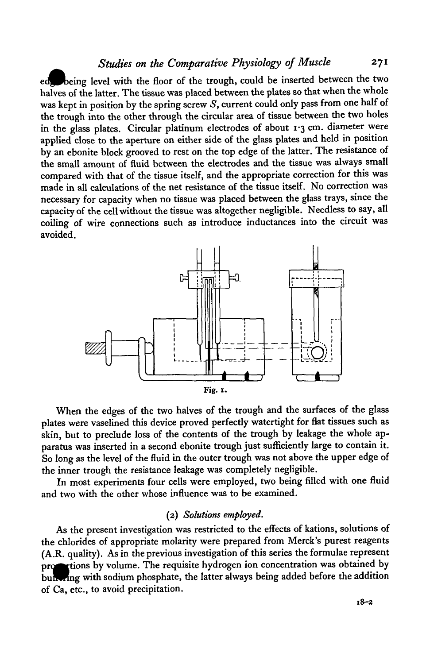# *Studies on the Comparative Physiology of Muscle* 271

ed being level with the floor of the trough, could be inserted between the two halves of the latter. The tissue was placed between the plates so that when the whole was kept in position by the spring screw *S,* current could only pass from one half of the trough into the other through the circular area of tissue between the two holes in the glass plates. Circular platinum electrodes of about 1-3 cm. diameter were applied close to the aperture on either side of the glass plates and held in position by an ebonite block grooved to rest on the top edge of the latter. The resistance of the small amount of fluid between the electrodes and the tissue was always small compared with that of the tissue itself, and the appropriate correction for this was made in all calculations of the net resistance of the tissue itself. No correction was necessary for capacity when no tissue was placed between the glass trays, since the capacity of the cell without the tissue was altogether negligible. Needless to say, all coiling of wire connections such as introduce inductances into the circuit was avoided.



When the edges of the two halves of the trough and the surfaces of the glass plates were vaselined this device proved perfectly watertight for flat tissues such as skin, but to preclude loss of the contents of the trough by leakage the whole apparatus was inserted in a second ebonite trough just sufficiently large to contain it. So long as the level of the fluid in the outer trough was not above the upper edge of the inner trough the resistance leakage was completely negligible.

In most experiments four cells were employed, two being filled with one fluid and two with the other whose influence was to be examined.

### (2) *Solutions employed.*

As the present investigation was restricted to the effects of kations, solutions of the chlorides of appropriate molarity were prepared from Merck's purest reagents (A.R. quality). As in the previous investigation of this series the formulae represent rtions by volume. The requisite hydrogen ion concentration was obtained by buh ing with sodium phosphate, the latter always being added before the addition of Ca, etc., to avoid precipitation.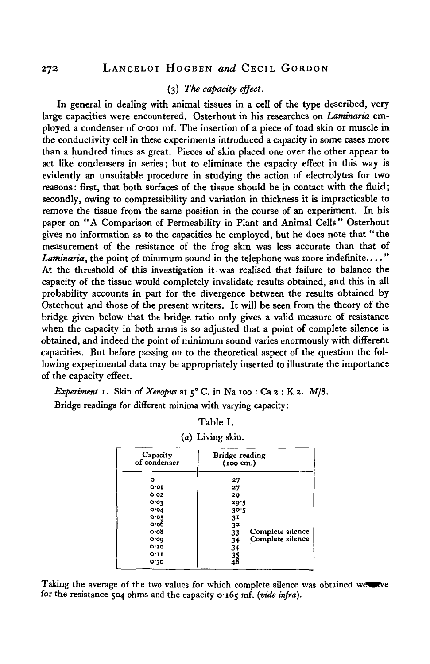### (3) *The capacity effect.*

In general in dealing with animal tissues in a cell of the type described, very large capacities were encountered. Osterhout in his researches on *Laminaria* employed a condenser of 0\*001 mf. The insertion of a piece of toad skin or muscle in the conductivity cell in these experiments introduced a capacity in some cases more than a hundred times as great. Pieces of skin placed one over the other appear to act like condensers in series; but to eliminate the capacity effect in this way is evidently an unsuitable procedure in studying the action of electrolytes for two reasons: first, that both surfaces of the tissue should be in contact with the fluid; secondly, owing to compressibility and variation in thickness it is impracticable to remove the tissue from the same position in the course of an experiment. In his paper on "A Comparison of Permeability in Plant and Animal Cells" Osterhout gives no information as to the capacities he employed, but he does note that "the measurement of the resistance of the frog skin was less accurate than that of *Laminaria*, the point of minimum sound in the telephone was more indefinite...." At the threshold of this investigation it was realised that failure to balance the capacity of the tissue would completely invalidate results obtained, and this in all probability accounts in part for the divergence between the results obtained by Osterhout and those of the present writers. It will be seen from the theory of the bridge given below that the bridge ratio only gives a valid measure of resistance when the capacity in both arms is so adjusted that a point of complete silence is obtained, and indeed the point of minimum sound varies enormously with different capacities. But before passing on to the theoretical aspect of the question the following experimental data may be appropriately inserted to illustrate the importance of the capacity effect.

*Experiment* 1. Skin of *Xenopus* at 5° C. in Na 100 : Ca 2 : K 2. M/8.

Bridge readings for different minima with varying capacity:

| (a) Living skin.         |                                       |  |  |  |  |
|--------------------------|---------------------------------------|--|--|--|--|
| Capacity<br>of condenser | Bridge reading<br>$(100 \text{ cm.})$ |  |  |  |  |
| ۰                        | 27                                    |  |  |  |  |
| o.ot                     | 27                                    |  |  |  |  |
| 0.02                     | 29                                    |  |  |  |  |
| 0.03                     | 20.5                                  |  |  |  |  |
| O O 4                    | 30.5                                  |  |  |  |  |
| 0.05                     | 31                                    |  |  |  |  |
| o·o6                     | 32                                    |  |  |  |  |
| o·o8                     | Complete silence<br>33                |  |  |  |  |
| O.OQ                     | Complete silence<br>34                |  |  |  |  |
| 0.10                     | 34                                    |  |  |  |  |
| O.11                     |                                       |  |  |  |  |
| 0.30                     | $\frac{35}{48}$                       |  |  |  |  |

Table I.

Taking the average of the two values for which complete silence was obtained weterve for the resistance 504 ohms and the capacity 0.165 mf. (vide infra).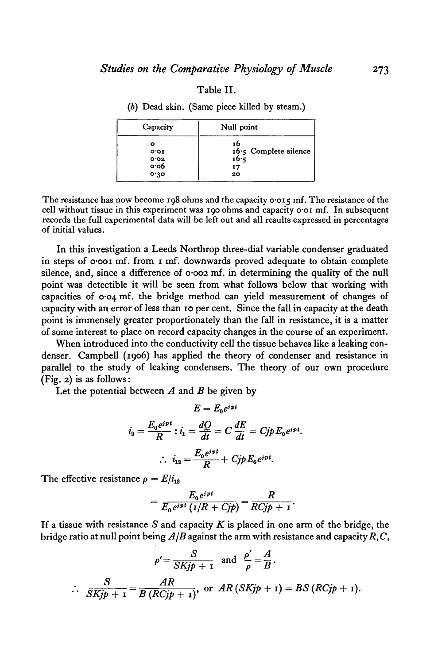#### Table II.

| $\mathcal{L}_{\mathcal{L}}$ is the same proved milled by steaming |                         |  |  |  |  |
|-------------------------------------------------------------------|-------------------------|--|--|--|--|
| Capacity                                                          | Null point              |  |  |  |  |
| ۰                                                                 | 16                      |  |  |  |  |
| O O I                                                             | $16.5$ Complete silence |  |  |  |  |
| 0.02                                                              | 16.5                    |  |  |  |  |
| 0.06                                                              | 17                      |  |  |  |  |
| 0.30                                                              | 20                      |  |  |  |  |

*(b)* Dead skin. (Same piece killed by steam.)

The resistance has now become 198 ohms and the capacity  $\sigma$  or  $\zeta$  mf. The resistance of the cell without tissue in this experiment was 190 ohms and capacity o-oi mf. In subsequent records the full experimental data will be left out and all results expressed in percentages of initial values.

In this investigation a Leeds Northrop three-dial variable condenser graduated in steps of o-ooi mf. from 1 mf. downwards proved adequate to obtain complete silence, and, since a difference of 0.002 mf. in determining the quality of the null point was detectible it will be seen from what follows below that working with capacities of 0-04 mf. the bridge method can yield measurement of changes of capacity with an error of less than 10 per cent. Since the fall in capacity at the death point is immensely greater proportionately than the fall in resistance, it is a matter of some interest to place on record capacity changes in the course of an experiment.

When introduced into the conductivity cell the tissue behaves like a leaking condenser. Campbell (1906) has applied the theory of condenser and resistance in parallel to the study of leaking condensers. The theory of our own procedure (Fig. 2) is as follows:

Let the potential between *A* and *B* be given by

$$
E = E_0 e^{ipt}
$$
  

$$
i_2 = \frac{E_0 e^{ipt}}{R} : i_1 = \frac{dQ}{dt} = C \frac{dE}{dt} = Cjp E_0 e^{ipt}
$$
  

$$
\therefore i_{12} = \frac{E_0 e^{ipt}}{R} + Cjp E_0 e^{ipt}.
$$

The effective resistance  $\rho = E/i_{12}$ 

$$
=\frac{E_0e^{ipt}}{E_0e^{ipt} (1/R+Cjp)}=\frac{R}{RCjp+1}.
$$

If a tissue with resistance *S* and capacity *K* is placed in one arm of the bridge, the bridge ratio at null point being  $A/B$  against the arm with resistance and capacity  $R, C$ ,

$$
\rho' = \frac{S}{SKjp + 1} \text{ and } \frac{\rho'}{\rho} = \frac{A}{B}.
$$
  

$$
\therefore \frac{S}{SKjp + 1} = \frac{AR}{B(RCjp + 1)}, \text{ or } AR(SKjp + 1) = BS(RCjp + 1).
$$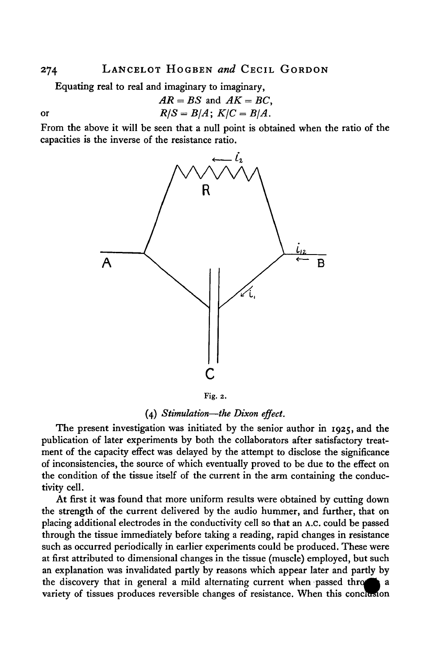# 274 LANCELOT HOGBEN and CECIL GORDON

Equating real to real and imaginary to imaginary,

$$
AR = BS \text{ and } AK = BC,
$$
  
or  

$$
R/S = B/A; K/C = B/A.
$$

From the above it will be seen that a null point is obtained when the ratio of the capacities is the inverse of the resistance ratio.



Fig. 2.

### (4) *Stimulation*—*the Dixon effect.*

The present investigation was initiated by the senior author in 1925, and the publication of later experiments by both the collaborators after satisfactory treatment of the capacity effect was delayed by the attempt to disclose the significance of inconsistencies, the source of which eventually proved to be due to the effect on the condition of the tissue itself of the current in the arm containing the conductivity cell.

At first it was found that more uniform results were obtained by cutting down the strength of the current delivered by the audio hummer, and further, that on placing additional electrodes in the conductivity cell so that an A.c. could be passed through the tissue immediately before taking a reading, rapid changes in resistance such as occurred periodically in earlier experiments could be produced. These were at first attributed to dimensional changes in the tissue (muscle) employed, but such an explanation was invalidated partly by reasons which appear later and partly by the discovery that in general a mild alternating current when passed thro^k a variety of tissues produces reversible changes of resistance. When this conclusion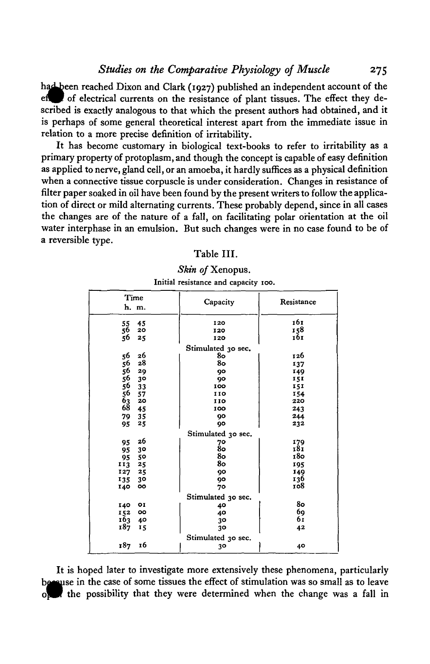*Studies on the Comparative Physiology of Muscle* 275

had been reached Dixon and Clark (1927) published an independent account of the of electrical currents on the resistance of plant tissues. The effect they described is exactly analogous to that which the present authors had obtained, and it is perhaps of some general theoretical interest apart from the immediate issue in relation to a more precise definition of irritability.

It has become customary in biological text-books to refer to irritability as a primary property of protoplasm, and though the concept is capable of easy definition as applied to nerve, gland cell, or an amoeba, it hardly suffices as a physical definition when a connective tissue corpuscle is under consideration. Changes in resistance of filter paper soaked in oil have been found by the present writers to follow the application of direct or mild alternating currents. These probably depend, since in all cases the changes are of the nature of a fall, on facilitating polar orientation at the oil water interphase in an emulsion. But such changes were in no case found to be of a reversible type.

#### Table III.

| Time<br>h. m.              | Capacity           | Resistance |
|----------------------------|--------------------|------------|
| 55<br>45                   | 120                | 161        |
| 56<br>20                   | 120                | 158        |
| 56<br>25                   | 120                | 161        |
|                            | Stimulated 30 sec. |            |
| 56<br>26                   | 80                 | 126        |
| 28<br>56                   | 80                 | 137        |
| 56<br>29                   | 90                 | 149        |
| 56<br>3 <sup>o</sup>       | 90                 | 151        |
| 33                         | 100                | 151        |
| 56<br>56<br>63<br>68<br>57 | 110                | 154        |
| 20                         | 110                | 220        |
| 45                         | 100                | 243        |
| 79.<br>35                  | 90                 | 244        |
| 95<br>25                   | 90                 | 232        |
|                            | Stimulated 30 sec. |            |
| 26<br>95                   | 70                 | 179        |
| 30<br>95                   | 80                 | 181        |
| -50<br>95                  | 80                 | 180        |
| - 25<br>II3                | 80                 | 195        |
| 127<br>- 25                | 90                 | 149        |
| 135<br>30                  | 90                 | 136        |
| 140<br>oo                  | 70                 | 108        |
|                            | Stimulated 30 sec. |            |
| 140<br><b>OI</b>           | 40                 | 80         |
| 152<br>oo                  | 40                 | 69         |
| 163<br>- 40                | 30                 | 61         |
| 187<br>15                  | 30                 | 42         |
|                            | Stimulated 30 sec. |            |
| 16<br>187                  | 30                 | 40         |

### Skin of Xenopus. **Initial resistance and capacity ioo.**

It is hoped later to investigate more extensively these phenomena, particularly begause in the case of some tissues the effect of stimulation was so small as to leave the possibility that they were determined when the change was a fall in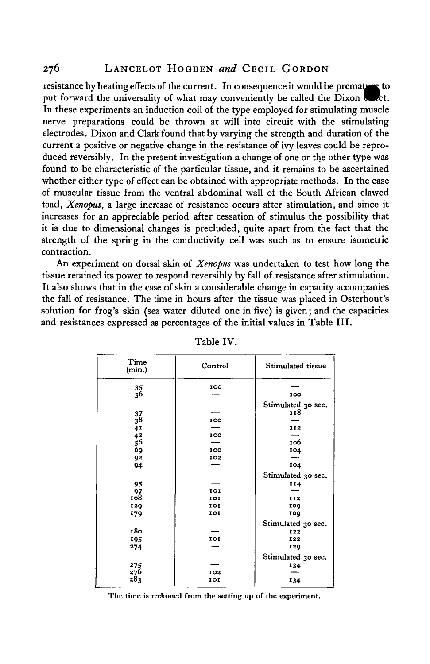### 276 LANCELOT HOGBEN *and* CECIL GORDON

resistance by heating effects of the current. In consequence it would be premature to put forward the universality of what may conveniently be called the Dixon kt. In these experiments an induction coil of the type employed for stimulating muscle nerve preparations could be thrown at will into circuit with the stimulating electrodes. Dixon and Clark found that by varying the strength and duration of the current a positive or negative change in the resistance of ivy leaves could be reproduced reversibly. In the present investigation a change of one or the other type was found to be characteristic of the particular tissue, and it remains to be ascertained whether either type of effect can be obtained with appropriate methods. In the case of muscular tissue from the ventral abdominal wall of the South African clawed toad, *Xenopus,* a large increase of resistance occurs after stimulation, and since it increases for an appreciable period after cessation of stimulus the possibility that it is due to dimensional changes is precluded, quite apart from the fact that the strength of the spring in the conductivity cell was such as to ensure isometric contraction.

An experiment on dorsal skin of *Xenopus* was undertaken to test how long the tissue retained its power to respond reversibly by fall of resistance after stimulation. It also shows that in the case of skin a considerable change in capacity accompanies the fall of resistance. The time in hours after the tissue was placed in Osterhout's solution for frog's skin (sea water diluted one in five) is given; and the capacities and resistances expressed as percentages of the initial values in Table III.

| Time<br>(min.)               | Control | Stimulated tissue  |
|------------------------------|---------|--------------------|
| $\frac{35}{36}$              | 100     |                    |
|                              |         | 100                |
|                              |         | Stimulated 30 sec. |
| 37                           |         | 118                |
| $38^{\circ}$                 | 100     |                    |
| $41$<br>$42$<br>$56$<br>$69$ |         | 112                |
|                              | 100     |                    |
|                              |         | 106                |
|                              | 100     | 104                |
| 92                           | 102     |                    |
| 94                           |         | 104                |
|                              |         | Stimulated 30 sec. |
| 95                           |         | 114                |
| 97                           | 101     |                    |
| 108                          | 101     | 112                |
| 120                          | 101     | 100                |
| 179                          | 101     | 109                |
|                              |         | Stimulated 30 sec. |
| 180                          |         | 122                |
| 195                          | IOI     | 122                |
| 274                          |         | 120                |
|                              |         | Stimulated 30 sec. |
|                              |         | 134                |
| 275<br>276                   | 102     |                    |
| 283                          | IOI     | 134                |

Table IV.

**The time is reckoned from the setting up of the experiment.**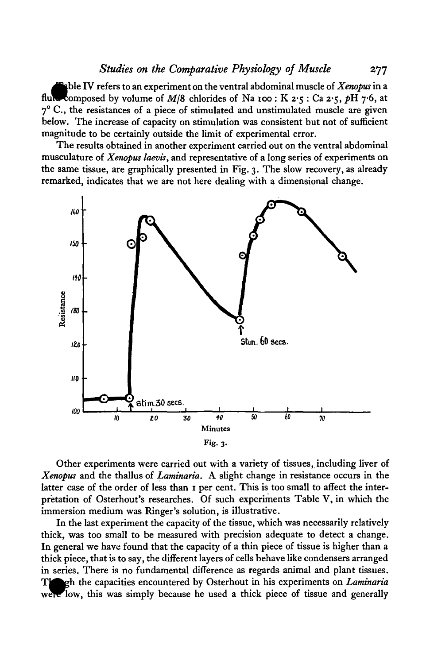able IV refers to an experiment on the ventral abdominal muscle of *Xenopus* in a composed by volume of  $M/8$  chlorides of Na 100 : K 2.5 : Ca 2.5, pH 7.6, at 7° C., the resistances of a piece of stimulated and unstimulated muscle are given below. The increase of capacity on stimulation was consistent but not of sufficient magnitude to be certainly outside the limit of experimental error.

The results obtained in another experiment carried out on the ventral abdominal musculature of *Xenopus laevis,* and representative of a long series of experiments on the same tissue, are graphically presented in Fig. 3. The slow recovery, as already remarked, indicates that we are not here dealing with a dimensional change.



Other experiments were carried out with a variety of tissues, including liver of *Xenopus* and the thallus of *Laminaria.* A slight change in resistance occurs in the latter case of the order of less than 1 per cent. This is too small to affect the interpretation of Osterhout's researches. Of such experiments Table V, in which the immersion medium was Ringer's solution, is illustrative.

In the last experiment the capacity of the tissue, which was necessarily relatively thick, was too small to be measured with precision adequate to detect a change. In general we have found that the capacity of a thin piece of tissue is higher than a thick piece, that is to say, the different layers of cells behave like condensers arranged in series. There is no fundamental difference as regards animal and plant tissues. Tloferh the capacities encountered by Osterhout in his experiments on *Laminaria* were low, this was simply because he used a thick piece of tissue and generally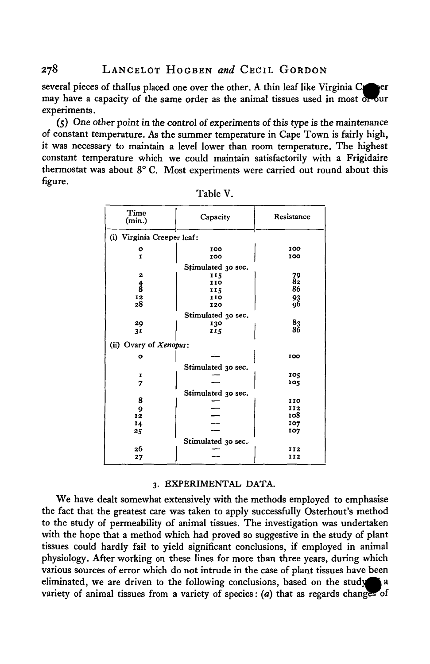several pieces of thallus placed one over the other. A thin leaf like Virginia  $C$ may have a capacity of the same order as the animal tissues used in most or our experiments.

 $(5)$  One other point in the control of experiments of this type is the maintenance of constant temperature. As the summer temperature in Cape Town is fairly high, it was necessary to maintain a level lower than room temperature. The highest constant temperature which we could maintain satisfactorily with a Frigidaire thermostat was about 8° C. Most experiments were carried out round about this figure.

| Time<br>(min.)             | Capacity           | Resistance      |
|----------------------------|--------------------|-----------------|
| (i) Virginia Creeper leaf: |                    |                 |
| ۰                          | 100                | 100             |
| Ĩ.                         | 100                | 100             |
|                            | Stimulated 30 sec. |                 |
| 2                          | 115                |                 |
|                            | 110                | $\frac{79}{82}$ |
| $\frac{4}{8}$              | 115                | 86              |
| 12                         | 110                | 93              |
| 28                         | 120                | 96              |
|                            | Stimulated 30 sec. |                 |
| 29                         | 130                | $\frac{83}{86}$ |
| 3I                         | 115                |                 |
| (ii) Ovary of Xenopus:     |                    |                 |
| ο                          |                    | 100             |
|                            | Stimulated 30 sec. |                 |
| I                          |                    | 105             |
| 7                          |                    | 105             |
|                            | Stimulated 30 sec. |                 |
| 8                          |                    | 110             |
| 9                          |                    | 112             |
| 12                         |                    | 108             |
| 14                         |                    | 107             |
| 25                         |                    | 107             |
|                            | Stimulated 30 sec. |                 |
| 26                         |                    | 112             |
| 27                         |                    | 112             |
|                            |                    |                 |

Table V.

#### 3. EXPERIMENTAL DATA.

We have dealt somewhat extensively with the methods employed to emphasise the fact that the greatest care was taken to apply successfully Osterhout's method to the study of permeability of animal tissues. The investigation was undertaken with the hope that a method which had proved so suggestive in the study of plant tissues could hardly fail to yield significant conclusions, if employed in animal physiology. After working on these lines for more than three years, during which various sources of error which do not intrude in the case of plant tissues have been eliminated, we are driven to the following conclusions, based on the study  $\bullet$  a variety of animal tissues from a variety of species: *(a)* that as regards changes of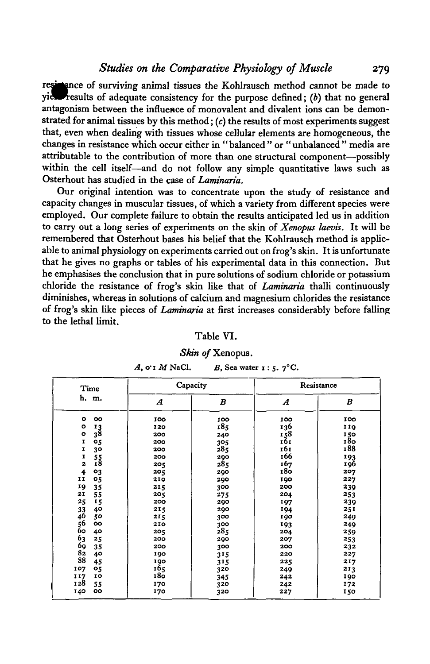*Studies on the Comparative Physiology of Muscle* 279

resktance of surviving animal tissues the Kohlrausch method cannot be made to yield results of adequate consistency for the purpose defined; *(b)* that no general antagonism between the influence of monovalent and divalent ions can be demonstrated for animal tissues by this method;  $(c)$  the results of most experiments suggest that, even when dealing with tissues whose cellular elements are homogeneous, the changes in resistance which occur either in "balanced " or "unbalanced" media are attributable to the contribution of more than one structural component—possibly within the cell itself—and do not follow any simple quantitative laws such as Osterhout has studied in the case of *Laminaria.*

Our original intention was to concentrate upon the study of resistance and capacity changes in muscular tissues, of which a variety from different species were employed. Our complete failure to obtain the results anticipated led us in addition to carry out a long series of experiments on the skin of *Xenopus laevis.* It will be remembered that Osterhout bases his belief that the Kohlrausch method is applicable to animal physiology on experiments carried out on frog's skin. It is unfortunate that he gives no graphs or tables of his experimental data in this connection. But he emphasises the conclusion that in pure solutions of sodium chloride or potassium chloride the resistance of frog's skin like that of *Laminaria* thalli continuously diminishes, whereas in solutions of calcium and magnesium chlorides the resistance of frog's skin like pieces of *Laminaria* at first increases considerably before falling to the lethal limit.

### Table VI.

#### *Skin of* Xenopus.

| A, o't $M$ NaCl. | B, Sea water $\mathbf{r}$ : 5. $\mathbf{7}^{\circ}\mathbf{C}$ . |
|------------------|-----------------------------------------------------------------|
|------------------|-----------------------------------------------------------------|

| Time                                                                                                                                                                     | Capacity                                                                                       |                                                                                                | Resistance                                                                                     |                                                                                                |  |
|--------------------------------------------------------------------------------------------------------------------------------------------------------------------------|------------------------------------------------------------------------------------------------|------------------------------------------------------------------------------------------------|------------------------------------------------------------------------------------------------|------------------------------------------------------------------------------------------------|--|
| h. m.                                                                                                                                                                    | $\boldsymbol{A}$                                                                               | B                                                                                              | $\boldsymbol{A}$                                                                               | B                                                                                              |  |
| $\circ$<br>oo<br>۰<br>$\frac{13}{38}$<br>۰<br>05<br>I<br>30<br>I<br>I<br>$\frac{55}{18}$<br>$\overline{2}$<br>4<br>03<br>11<br>05<br>19<br>35                            | 100<br>120<br>200<br>200<br>200<br>200<br>205<br>205<br>210<br>215                             | 100<br>185<br>240<br>305<br>28 <sub>5</sub><br>290<br>285<br>290<br>290<br>300                 | 100<br>136<br>158<br>161<br>161<br>166<br>167<br>180<br>190<br>200                             | 100<br>119<br>150<br>180<br>188<br>193<br>196<br>207<br>227<br>239                             |  |
| 21<br>55<br>25<br>15<br>33<br>40<br>46<br>50<br>56<br>oo<br>60<br>40<br>63<br>25<br>69<br>35<br>82<br>40<br>88<br>45<br>107<br>05<br>117<br>IO<br>128<br>55<br>oo<br>140 | 205<br>200<br>215<br>215<br>210<br>205<br>200<br>200<br>190<br>190<br>165<br>18ŏ<br>170<br>170 | 275<br>290<br>290<br>300<br>300<br>285<br>290<br>300<br>315<br>315<br>320<br>345<br>320<br>320 | 204<br>197<br>194<br>190<br>193<br>204<br>207<br>200<br>220<br>225<br>249<br>242<br>242<br>227 | 253<br>239<br>251<br>249<br>249<br>259<br>253<br>232<br>227<br>217<br>213<br>190<br>172<br>150 |  |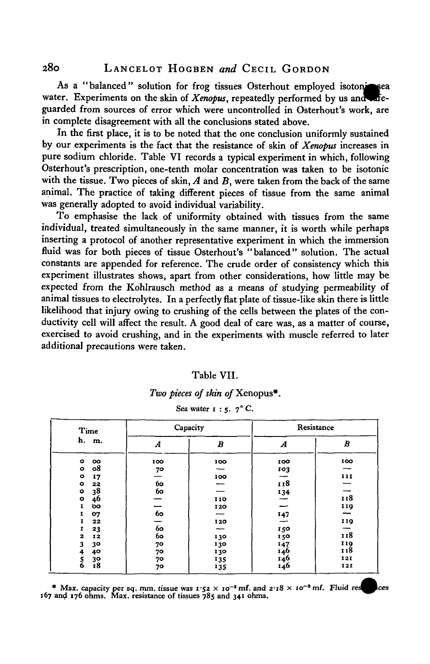As a "balanced" solution for frog tissues Osterhout employed isotonized water. Experiments on the skin of  $Xenopus$ , repeatedly performed by us and  $\alpha$ fieguarded from sources of error which were uncontrolled in Osterhout's work, are in complete disagreement with all the conclusions stated above.

In the first place, it is to be noted that the one conclusion uniformly sustained by our experiments is the fact that the resistance of skin of *Xenopus* increases in pure sodium chloride. Table VI records a typical experiment in which, following Osterhout's prescription, one-tenth molar concentration was taken to be isotonic with the tissue. Two pieces of skin, *A* and *B,* were taken from the back of the same animal. The practice of taking different pieces of tissue from the same animal was generally adopted to avoid individual variability.

To emphasise the lack of uniformity obtained with tissues from the same individual, treated simultaneously in the same manner, it is worth while perhaps inserting a protocol of another representative experiment in which the immersion fluid was for both pieces of tissue Osterhout's "balanced" solution. The actual constants are appended for reference. The crude order of consistency which this experiment illustrates shows, apart from other considerations, how little may be expected from the Kohlrausch method as a means of studying permeability of animal tissues to electrolytes. In a perfectly flat plate of tissue-like skin there is little likelihood that injury owing to crushing of the cells between the plates of the conductivity cell will affect the result. A good deal of care was, as a matter of course, exercised to avoid crushing, and in the experiments with muscle referred to later additional precautions were taken.

#### Table VII.

### *Two pieces of skin of* Xenopus\*.

| Time                |     | Capacity |     | Resistance |
|---------------------|-----|----------|-----|------------|
| h. m.               | A   | B        | A   | B          |
| $\bullet$<br>oo     | 100 | 100      | 100 | 100        |
| о8<br>$\bullet$     | 70  |          | 103 | --         |
| $\bullet$<br>17     |     | 100      |     | 111        |
| $\bullet$<br>22     | 60  |          | 118 |            |
| 38<br>$\bullet$     | 60  |          | 134 |            |
| 46<br>$\bullet$     |     | 110      |     | 118        |
| $\mathbf{I}$<br>оo  |     | 120      |     | 119        |
| I<br>07             | 60  |          | 147 |            |
| 22<br>1             |     | 120      |     | 119        |
| 1<br>23             | 60  |          | 150 |            |
| $\mathbf{z}$<br>12  | 6о  | 130      | 150 | 118        |
| 3<br>30             | 70  | 130      | 147 | 119        |
| 40<br>4             | 70  | 130      | 146 | 118        |
| 3 <sup>o</sup>      | 70  | 135      | 146 | 121        |
| $\frac{5}{6}$<br>18 | 70  | 135      | 146 | 121        |

### **Sea water 1:5. 7° C**

**•** Max. capacity per sq. mm. tissue was  $1.52 \times 10^{-3}$  mf. and  $2.18 \times 10^{-3}$  mf. Fluid re 167 and 176 ohms. Max. resistance of tissues 785 and 341 ohms.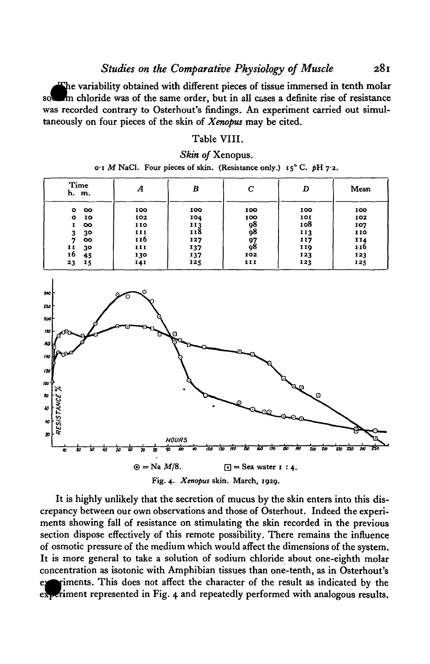The variability obtained with different pieces of tissue immersed in tenth molar m chloride was of the same order, but in all cases a definite rise of resistance was recorded contrary to Osterhout's findings. An experiment carried out simultaneously on four pieces of the skin of *Xenopus* may be cited.

### Table VIII.

*Skin of* Xenopus.

|  | o'I M NaCl. Four pieces of skin. (Resistance only.) $15^{\circ}$ C. pH 7.2. |  |  |  |
|--|-----------------------------------------------------------------------------|--|--|--|
|--|-----------------------------------------------------------------------------|--|--|--|

| Time<br>h. m.         | А   | B   | с   | D   | Mean |
|-----------------------|-----|-----|-----|-----|------|
| $\infty$<br>$\bullet$ | 100 | 100 | 100 | 100 | 100  |
| 10<br>$\bullet$       | 102 | 104 | 100 | 101 | 102  |
| $\infty$<br>1         | 110 | 113 | 98  | 108 | 107  |
| 30<br>3               | II  | 118 | 98  | 113 | 110  |
| œ<br>7                | 116 | 127 | 97  | 117 | 114  |
| 11<br>30              | 111 | 137 | 98  | 119 | 110  |
| 16<br>45              | 130 | 137 | 102 | 123 | 123  |
| 23<br>15              | 141 | 125 | 111 | 123 | 125  |



It is highly unlikely that the secretion of mucus by the skin enters into this discrepancy between our own observations and those of Osterhout. Indeed the experiments showing fall of resistance on stimulating the skin recorded in the previous section dispose effectively of this remote possibility. There remains the influence of osmotic pressure of the medium which would affect the dimensions of the system. It is more general to take a solution of sodium chloride about one-eighth molar concentration as isotonic with Amphibian tissues than one-tenth, as in Osterhout's riments. This does not affect the character of the result as indicated by the experiment represented in Fig. 4 and repeatedly performed with analogous results.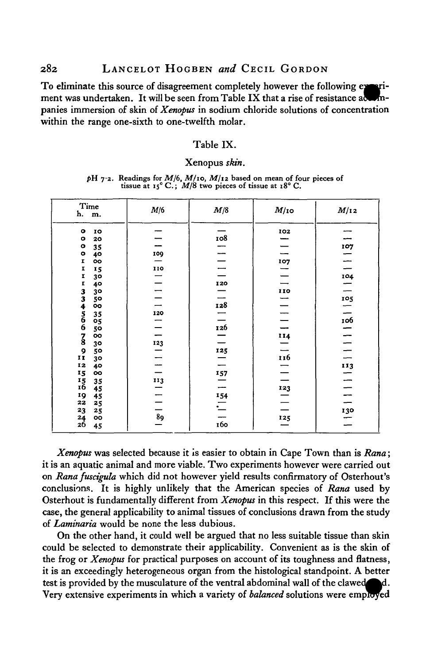### 282 LANCELOT HOGBEN *and* CECIL GORDON

ment was undertaken. It will be seen from Table IX that a rise of resistance action-To eliminate this source of disagreement completely however the following exeripanies immersion of skin of *Xenopus* in sodium chloride solutions of concentration within the range one-sixth to one-twelfth molar.

#### Table IX.

#### Xenopus *skin.*

| pH 7.2. Readings for $M/6$ , $M/10$ , $M/12$ based on mean of four pieces of |  |                                                                          |  |  |
|------------------------------------------------------------------------------|--|--------------------------------------------------------------------------|--|--|
|                                                                              |  | tissue at $15^{\circ}$ C.; $M/8$ two pieces of tissue at $18^{\circ}$ C. |  |  |

| Time<br>h. m.                                   | M/6            | M/8      | $M$ /10 | M/12             |
|-------------------------------------------------|----------------|----------|---------|------------------|
| $\bullet$<br>10                                 |                |          | 102     |                  |
| $\bullet$<br>20                                 |                | 108      |         |                  |
| $\mathbf{o}$<br>35                              |                |          |         | 107              |
| $\bullet$<br>40                                 | 109            |          |         |                  |
| I<br>oo                                         |                |          | 107     |                  |
| I<br>15                                         | 110            |          |         |                  |
| I<br>30                                         |                |          |         | 104              |
| I<br>40                                         |                | 120      |         |                  |
| 30                                              |                |          | 110     |                  |
| 334566<br>50                                    |                |          |         | $\overline{105}$ |
| oo                                              |                | 128      |         |                  |
| 35                                              | 120            |          |         |                  |
| 05                                              |                |          |         | $\frac{106}{1}$  |
| 50                                              |                | 126      |         |                  |
| $\overline{\mathbf{3}}$<br>oo                   |                |          | 114     | $\frac{1}{1}$    |
| 30                                              | 123            |          |         |                  |
| $\frac{9}{11}$<br>50                            |                | 125      |         |                  |
| 3 <sup>o</sup>                                  |                |          | 116     |                  |
| 12<br>40                                        |                |          |         | $\frac{113}{2}$  |
| 15<br>oo                                        |                | 157      |         |                  |
| $\begin{array}{c}\n15 \\ 16\n\end{array}$<br>35 | 113            |          |         | $\equiv$         |
| 45                                              |                |          | 123     |                  |
| 19<br>45                                        |                | 154      |         | --               |
| 22<br>25                                        |                | $\equiv$ |         |                  |
| 23<br>25                                        | $\frac{1}{89}$ |          |         | $\frac{130}{4}$  |
| 24<br>oo                                        |                |          | 125     |                  |
| 26<br>45                                        |                | 160      |         |                  |

*Xenopus* was selected because it is easier to obtain in Cape Town than is *Rana*; it is an aquatic animal and more viable. Two experiments however were carried out on *Rana fuscigula* which did not however yield results confirmatory of Osterhout's conclusions. It is highly unlikely that the American species of *Rana* used by Osterhout is fundamentally different from *Xenopus* in this respect. If this were the case, the general applicability to animal tissues of conclusions drawn from the study of *Laminaria* would be none the less dubious.

On the other hand, it could well be argued that no less suitable tissue than skin could be selected to demonstrate their applicability. Convenient as is the skin of the frog or *Xenopus* for practical purposes on account of its toughness and flatness, it is an exceedingly heterogeneous organ from the histological standpoint. A better test is provided by the musculature of the ventral abdominal wall of the ۱d. Very extensive experiments in which a variety of *balanced* solutions were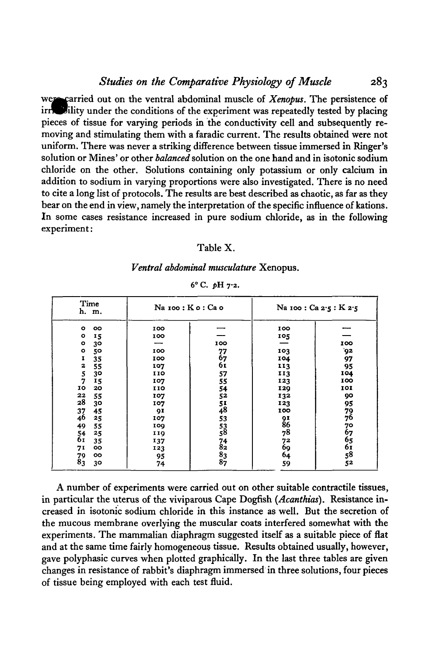were carried out on the ventral abdominal muscle of *Xenopus*. The persistence of irrich allity under the conditions of the experiment was repeatedly tested by placing pieces of tissue for varying periods in the conductivity cell and subsequently removing and stimulating them with a faradic current. The results obtained were not uniform. There was never a striking difference between tissue immersed in Ringer's solution or Mines' or other *balanced* solution on the one hand and in isotonic sodium chloride on the other. Solutions containing only potassium or only calcium in addition to sodium in varying proportions were also investigated. There is no need to cite a long list of protocols. The results are best described as chaotic, as far as they bear on the end in view, namely the interpretation of the specific influence of kations. In some cases resistance increased in pure sodium chloride, as in the following experiment:

### Table X.

#### *Ventral abdominal musculature* Xenopus.

| Time<br>h. m.         | Na 100 : Ko: Cao |                                         | Na 100 : Ca 2.5 : K 2.5 |                       |  |
|-----------------------|------------------|-----------------------------------------|-------------------------|-----------------------|--|
| $\bullet$<br>oo       | 100              |                                         | 100                     |                       |  |
| $\circ$<br>15         | 100              |                                         | 105                     |                       |  |
| $\circ$<br>30         |                  | 100                                     |                         | 100                   |  |
| $\bullet$<br>50       | 100              | 77                                      | 103                     | 92                    |  |
| 1<br>35               | 100              | 67                                      | 104                     | 97                    |  |
| 2<br>55               | 107              | 61                                      | 113                     | 95                    |  |
| 5<br>30               | 110              | 57                                      | 113                     | 104                   |  |
| 7<br>15               | 107              | 55                                      | 123                     | 100                   |  |
| IO<br>20              | 110              | 54                                      | 129                     | 101                   |  |
| 22<br>55              | 107              | 52                                      | 132                     | 90                    |  |
| 28<br>30              | 107              |                                         | 123                     | 95                    |  |
| 45                    | 91               | $\frac{51}{48}$                         | 100                     |                       |  |
| 37<br>46<br>25        | 107              | 53                                      |                         | $\frac{79}{76}$       |  |
| 49<br>55              | 100              |                                         | 91<br>86                |                       |  |
| 25                    | 119              | $\frac{53}{58}$                         | 78                      |                       |  |
| $\frac{54}{61}$<br>35 | 137              |                                         |                         |                       |  |
| 71<br>oo              | 123              | $^{74}_{82}$                            | 72<br>69                |                       |  |
| 79<br>oo              | 95               |                                         | 64                      |                       |  |
| 83<br>30              | 74               | $\begin{array}{c} 83 \\ 87 \end{array}$ | 59                      | 76765<br>6561<br>5852 |  |

**6° C.** *pU* **72.**

A number of experiments were carried out on other suitable contractile tissues, in particular the uterus of the viviparous Cape Dogfish *(Acanthias).* Resistance increased in isotonic sodium chloride in this instance as well. But the secretion of the mucous membrane overlying the muscular coats interfered somewhat with the experiments. The mammalian diaphragm suggested itself as a suitable piece of flat and at the same time fairly homogeneous tissue. Results obtained usually, however, gave polyphasic curves when plotted graphically. In the last three tables are given changes in resistance of rabbit's diaphragm immersed in three solutions, four pieces of tissue being employed with each test fluid.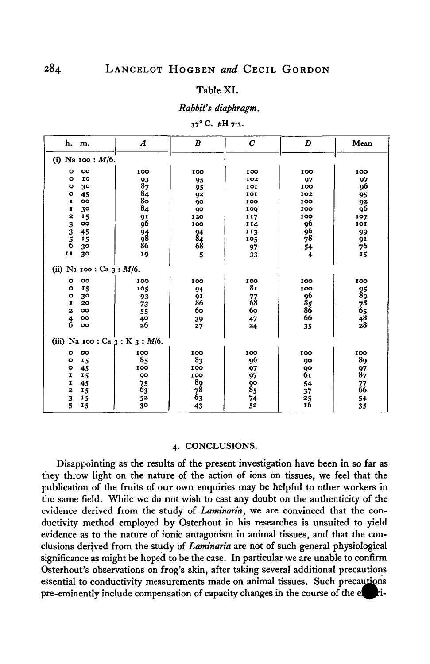#### Table XI.

#### *Rabbit's diaphragm.*

| $37^{\circ}$ C. pH $7.3$ |
|--------------------------|
|--------------------------|

| h. m.                                                   | $\boldsymbol{A}$            | $\boldsymbol{B}$      | $\boldsymbol{C}$ | D                    | Mean                         |
|---------------------------------------------------------|-----------------------------|-----------------------|------------------|----------------------|------------------------------|
| Na 100: $M/6$ .<br>(i)                                  |                             |                       |                  |                      |                              |
| oo<br>۰                                                 | 100                         | 100                   | 100              | 100                  | 100                          |
| 10<br>$\circ$                                           |                             | 95                    | 102              | 97                   | 97                           |
| $\circ$<br>30                                           |                             | 95                    | 101              | 100                  | 96                           |
| $\bullet$<br>45                                         | 937<br>884<br>88<br>84      | 92                    | 101              | 102                  | 95                           |
| oo<br>$\mathbf{I}$                                      |                             | 90                    | 100              | 100                  | 92                           |
| I<br>30                                                 |                             | 90                    | 109              | 100                  | 96                           |
| 15                                                      |                             | 120                   | II7              | 100                  | 107                          |
| $\begin{array}{c}\n2 \\ 3 \\ 5 \\ 6\n\end{array}$<br>oo | 91<br>96                    | 100                   | II4              | 96                   | 101                          |
| 45                                                      |                             |                       | 113              | $\frac{6}{78}$       | 99                           |
| 15                                                      |                             |                       | 105              |                      |                              |
| 30                                                      | 94<br>98<br>86              |                       | 97               |                      | 91<br>76                     |
| $\mathbf{I}$<br>3 <sup>o</sup>                          | 19                          | 94<br>84<br>68<br>5   | 33               | $\frac{54}{4}$       | 15                           |
| (ii) Na 100 : Ca $3 : M/6$ .                            |                             |                       |                  |                      |                              |
| oo<br>$\circ$                                           | 100                         | 100                   | 100              | 100                  | 100                          |
| 15<br>$\bullet$                                         | 105                         | 94                    | 8 <sub>I</sub>   | 100                  |                              |
| $\circ$<br>30                                           | 93                          | $\frac{91}{86}$       | 77<br>68         | 96<br>85<br>86<br>66 | 95<br>898<br>765<br>48<br>48 |
| 20<br>$\mathbf{I}$                                      | 73                          |                       |                  |                      |                              |
| $\overline{\mathbf{z}}$<br>oo                           | 55                          | 60                    | 60               |                      |                              |
| $\frac{4}{6}$<br>oo                                     | $\frac{40}{26}$             | 39                    | 47               |                      |                              |
| OO                                                      |                             | 27                    | 24               | 35                   |                              |
| (iii)                                                   | Na 100 : Ca $3: K_3: M/6$ . |                       |                  |                      |                              |
| oo<br>$\circ$                                           | 100                         | 100                   | 100              | 100                  | 100                          |
| $\circ$<br>15                                           | 85                          | 83                    | 96               | 90                   | 89                           |
| $\bullet$<br>45                                         | 100                         | 100                   | 97               | 90                   |                              |
| $\pmb{\mathbf{I}}$<br>15                                | 90                          | 100                   | 97               | 61                   | $^{97}_{87}$                 |
| I<br>45                                                 |                             |                       |                  | 54                   |                              |
| 2<br>15                                                 |                             |                       | 90<br>85         | 37                   | $\overline{66}$              |
| 15                                                      | $75$<br>$63$<br>$52$        | $\frac{89}{78}$<br>63 | 74               |                      | 54                           |
| $\frac{3}{5}$<br>15                                     | 30                          | 43                    | 52               | $^{25}_{16}$         | 35                           |

#### 4. CONCLUSIONS.

Disappointing as the results of the present investigation have been in so far as they throw light on the nature of the action of ions on tissues, we feel that the publication of the fruits of our own enquiries may be helpful to other workers in the same field. While we do not wish to cast any doubt on the authenticity of the evidence derived from the study of *Laminaria,* we are convinced that the conductivity method employed by Osterhout in his researches is unsuited to yield evidence as to the nature of ionic antagonism in animal tissues, and that the conclusions derived from the study of *Laminaria* are not of such general physiological significance as might be hoped to be the case. In particular we are unable to confirm Osterhout's observations on frog's skin, after taking several additional precautions essential to conductivity measurements made on animal tissues. Such precautions pre-eminently include compensation of capacity changes in the course of the *e{*hi-